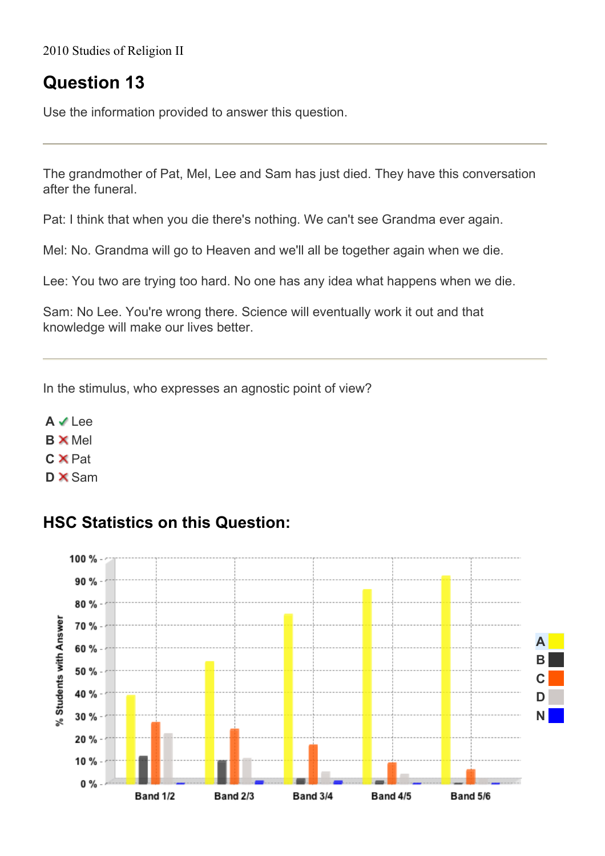2010 Studies of Religion II

## **Question 13**

Use the information provided to answer this question.

The grandmother of Pat, Mel, Lee and Sam has just died. They have this conversation after the funeral.

Pat: I think that when you die there's nothing. We can't see Grandma ever again.

Mel: No. Grandma will go to Heaven and we'll all be together again when we die.

Lee: You two are trying too hard. No one has any idea what happens when we die.

Sam: No Lee. You're wrong there. Science will eventually work it out and that knowledge will make our lives better.

In the stimulus, who expresses an agnostic point of view?

**A** Lee **B** Mel **C**  $\times$  Pat **D** $\times$  Sam